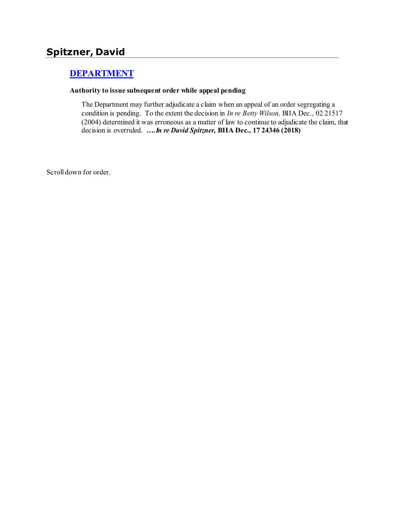# **Spitzner, David**

## **[DEPARTMENT](http://www.biia.wa.gov/SDSubjectIndex.html#DEPARTMENT)**

#### **Authority to issue subsequent order while appeal pending**

The Department may further adjudicate a claim when an appeal of an order segregating a condition is pending. To the extent the decision in *In re Betty Wilson,* BIIA Dec., 02 21517 (2004) determined it was erroneous as a matter of law to continue to adjudicate the claim, that decision is overruled. *….In re David Spitzner,* **BIIA Dec., 17 24346 (2018)**

Scroll down for order.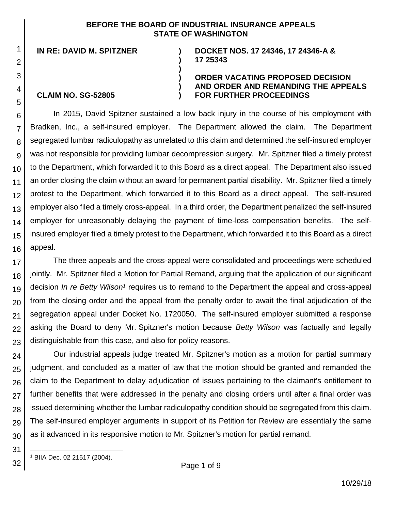#### **BEFORE THE BOARD OF INDUSTRIAL INSURANCE APPEALS STATE OF WASHINGTON**

**)**

**)**

**) ) )**

**IN RE: DAVID M. SPITZNER )**

#### **DOCKET NOS. 17 24346, 17 24346-A & 17 25343**

#### **CLAIM NO. SG-52805**

1

2

3

4

5

#### **ORDER VACATING PROPOSED DECISION AND ORDER AND REMANDING THE APPEALS FOR FURTHER PROCEEDINGS**

6 7 8 9 10 11 12 13 14 15 16 In 2015, David Spitzner sustained a low back injury in the course of his employment with Bradken, Inc., a self-insured employer. The Department allowed the claim. The Department segregated lumbar radiculopathy as unrelated to this claim and determined the self-insured employer was not responsible for providing lumbar decompression surgery. Mr. Spitzner filed a timely protest to the Department, which forwarded it to this Board as a direct appeal. The Department also issued an order closing the claim without an award for permanent partial disability. Mr. Spitzner filed a timely protest to the Department, which forwarded it to this Board as a direct appeal. The self-insured employer also filed a timely cross-appeal. In a third order, the Department penalized the self-insured employer for unreasonably delaying the payment of time-loss compensation benefits. The selfinsured employer filed a timely protest to the Department, which forwarded it to this Board as a direct appeal.

17 18 19 20 21 22 23 The three appeals and the cross-appeal were consolidated and proceedings were scheduled jointly. Mr. Spitzner filed a Motion for Partial Remand, arguing that the application of our significant decision *In re Betty Wilson<sup>1</sup>* requires us to remand to the Department the appeal and cross-appeal from the closing order and the appeal from the penalty order to await the final adjudication of the segregation appeal under Docket No. 1720050. The self-insured employer submitted a response asking the Board to deny Mr. Spitzner's motion because *Betty Wilson* was factually and legally distinguishable from this case, and also for policy reasons.

24 25 26 27 28 29 30 Our industrial appeals judge treated Mr. Spitzner's motion as a motion for partial summary judgment, and concluded as a matter of law that the motion should be granted and remanded the claim to the Department to delay adjudication of issues pertaining to the claimant's entitlement to further benefits that were addressed in the penalty and closing orders until after a final order was issued determining whether the lumbar radiculopathy condition should be segregated from this claim. The self-insured employer arguments in support of its Petition for Review are essentially the same as it advanced in its responsive motion to Mr. Spitzner's motion for partial remand.

32 l <sup>1</sup> BIIA Dec. 02 21517 (2004).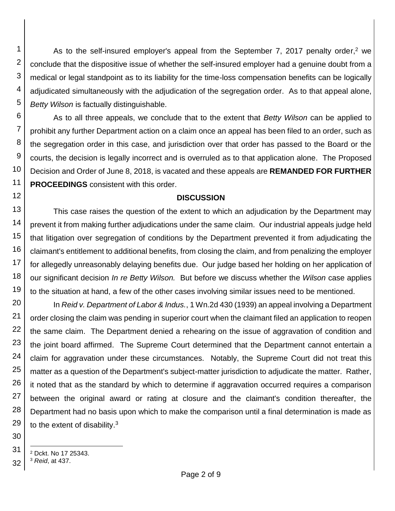As to the self-insured employer's appeal from the September 7, 2017 penalty order,<sup>2</sup> we conclude that the dispositive issue of whether the self-insured employer had a genuine doubt from a medical or legal standpoint as to its liability for the time-loss compensation benefits can be logically adjudicated simultaneously with the adjudication of the segregation order. As to that appeal alone, *Betty Wilson* is factually distinguishable.

6 7 8 9 10 11 As to all three appeals, we conclude that to the extent that *Betty Wilson* can be applied to prohibit any further Department action on a claim once an appeal has been filed to an order, such as the segregation order in this case, and jurisdiction over that order has passed to the Board or the courts, the decision is legally incorrect and is overruled as to that application alone. The Proposed Decision and Order of June 8, 2018, is vacated and these appeals are **REMANDED FOR FURTHER PROCEEDINGS** consistent with this order.

#### **DISCUSSION**

13 14 15 16 17 18 19 This case raises the question of the extent to which an adjudication by the Department may prevent it from making further adjudications under the same claim. Our industrial appeals judge held that litigation over segregation of conditions by the Department prevented it from adjudicating the claimant's entitlement to additional benefits, from closing the claim, and from penalizing the employer for allegedly unreasonably delaying benefits due. Our judge based her holding on her application of our significant decision *In re Betty Wilson.* But before we discuss whether the *Wilson* case applies to the situation at hand, a few of the other cases involving similar issues need to be mentioned.

20 21 22 23 24 25 26 27 28 29 In *Reid v. Department of Labor & Indus.*, 1 Wn.2d 430 (1939) an appeal involving a Department order closing the claim was pending in superior court when the claimant filed an application to reopen the same claim. The Department denied a rehearing on the issue of aggravation of condition and the joint board affirmed. The Supreme Court determined that the Department cannot entertain a claim for aggravation under these circumstances. Notably, the Supreme Court did not treat this matter as a question of the Department's subject-matter jurisdiction to adjudicate the matter. Rather, it noted that as the standard by which to determine if aggravation occurred requires a comparison between the original award or rating at closure and the claimant's condition thereafter, the Department had no basis upon which to make the comparison until a final determination is made as to the extent of disability. $3$ 

30

31

1

2

3

4

5

l <sup>2</sup> Dckt. No 17 25343.

<sup>32</sup> <sup>3</sup> *Reid*, at 437.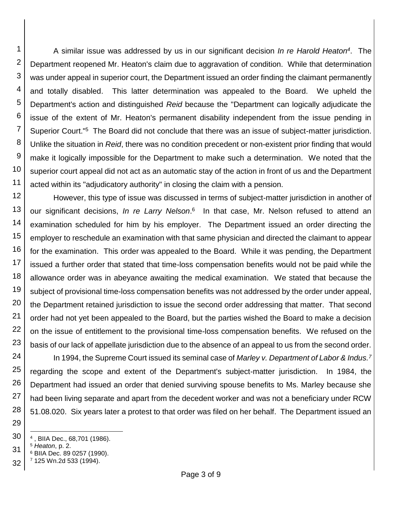1 2 3 4 5 6 7 8 9 10 11 A similar issue was addressed by us in our significant decision *In re Harold Heaton<sup>4</sup>* . The Department reopened Mr. Heaton's claim due to aggravation of condition. While that determination was under appeal in superior court, the Department issued an order finding the claimant permanently and totally disabled. This latter determination was appealed to the Board. We upheld the Department's action and distinguished *Reid* because the "Department can logically adjudicate the issue of the extent of Mr. Heaton's permanent disability independent from the issue pending in Superior Court."<sup>5</sup> The Board did not conclude that there was an issue of subject-matter jurisdiction. Unlike the situation in *Reid*, there was no condition precedent or non-existent prior finding that would make it logically impossible for the Department to make such a determination. We noted that the superior court appeal did not act as an automatic stay of the action in front of us and the Department acted within its "adjudicatory authority" in closing the claim with a pension.

12 13 14 15 16 17 18 19 20 21 22 23 However, this type of issue was discussed in terms of subject-matter jurisdiction in another of our significant decisions, *In re Larry Nelson*. 6 In that case, Mr. Nelson refused to attend an examination scheduled for him by his employer. The Department issued an order directing the employer to reschedule an examination with that same physician and directed the claimant to appear for the examination. This order was appealed to the Board. While it was pending, the Department issued a further order that stated that time-loss compensation benefits would not be paid while the allowance order was in abeyance awaiting the medical examination. We stated that because the subject of provisional time-loss compensation benefits was not addressed by the order under appeal, the Department retained jurisdiction to issue the second order addressing that matter. That second order had not yet been appealed to the Board, but the parties wished the Board to make a decision on the issue of entitlement to the provisional time-loss compensation benefits. We refused on the basis of our lack of appellate jurisdiction due to the absence of an appeal to us from the second order.

24 25 26 27 28 In 1994, the Supreme Court issued its seminal case of *Marley v. Department of Labor & Indus.<sup>7</sup>* regarding the scope and extent of the Department's subject-matter jurisdiction. In 1984, the Department had issued an order that denied surviving spouse benefits to Ms. Marley because she had been living separate and apart from the decedent worker and was not a beneficiary under RCW 51.08.020. Six years later a protest to that order was filed on her behalf. The Department issued an

- 30 l 4 , BIIA Dec., 68,701 (1986).
- 31 <sup>5</sup> *Heaton*, p. 2.
- <sup>6</sup> BIIA Dec. 89 0257 (1990).
- 32 <sup>7</sup> 125 Wn.2d 533 (1994).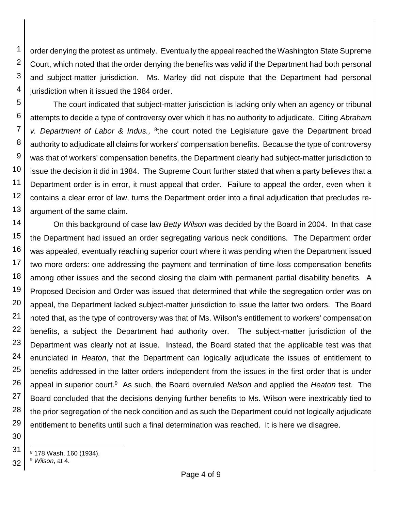1 2 3 4 order denying the protest as untimely. Eventually the appeal reached the Washington State Supreme Court, which noted that the order denying the benefits was valid if the Department had both personal and subject-matter jurisdiction. Ms. Marley did not dispute that the Department had personal jurisdiction when it issued the 1984 order.

5 6 7 8 9 10 11 12 13 The court indicated that subject-matter jurisdiction is lacking only when an agency or tribunal attempts to decide a type of controversy over which it has no authority to adjudicate. Citing *Abraham*  v. Department of Labor & Indus., <sup>8</sup>the court noted the Legislature gave the Department broad authority to adjudicate all claims for workers' compensation benefits. Because the type of controversy was that of workers' compensation benefits, the Department clearly had subject-matter jurisdiction to issue the decision it did in 1984. The Supreme Court further stated that when a party believes that a Department order is in error, it must appeal that order. Failure to appeal the order, even when it contains a clear error of law, turns the Department order into a final adjudication that precludes reargument of the same claim.

14 15 16 17 18 19 20 21 22 23 24 25 26 27 28 29 On this background of case law *Betty Wilson* was decided by the Board in 2004. In that case the Department had issued an order segregating various neck conditions. The Department order was appealed, eventually reaching superior court where it was pending when the Department issued two more orders: one addressing the payment and termination of time-loss compensation benefits among other issues and the second closing the claim with permanent partial disability benefits. A Proposed Decision and Order was issued that determined that while the segregation order was on appeal, the Department lacked subject-matter jurisdiction to issue the latter two orders. The Board noted that, as the type of controversy was that of Ms. Wilson's entitlement to workers' compensation benefits, a subject the Department had authority over. The subject-matter jurisdiction of the Department was clearly not at issue. Instead, the Board stated that the applicable test was that enunciated in *Heaton*, that the Department can logically adjudicate the issues of entitlement to benefits addressed in the latter orders independent from the issues in the first order that is under appeal in superior court.<sup>9</sup> As such, the Board overruled *Nelson* and applied the *Heaton* test. The Board concluded that the decisions denying further benefits to Ms. Wilson were inextricably tied to the prior segregation of the neck condition and as such the Department could not logically adjudicate entitlement to benefits until such a final determination was reached. It is here we disagree.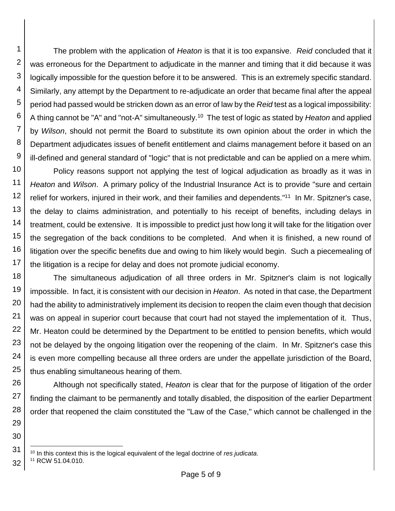1 2 3 4 5 6 7 8 9 The problem with the application of *Heaton* is that it is too expansive. *Reid* concluded that it was erroneous for the Department to adjudicate in the manner and timing that it did because it was logically impossible for the question before it to be answered. This is an extremely specific standard. Similarly, any attempt by the Department to re-adjudicate an order that became final after the appeal period had passed would be stricken down as an error of law by the *Reid* test as a logical impossibility: A thing cannot be "A" and "not-A" simultaneously.<sup>10</sup> The test of logic as stated by *Heaton* and applied by *Wilson*, should not permit the Board to substitute its own opinion about the order in which the Department adjudicates issues of benefit entitlement and claims management before it based on an ill-defined and general standard of "logic" that is not predictable and can be applied on a mere whim.

10 11 12 13 14 15 16 17 Policy reasons support not applying the test of logical adjudication as broadly as it was in *Heaton* and *Wilson*. A primary policy of the Industrial Insurance Act is to provide "sure and certain relief for workers, injured in their work, and their families and dependents."<sup>11</sup> In Mr. Spitzner's case, the delay to claims administration, and potentially to his receipt of benefits, including delays in treatment, could be extensive. It is impossible to predict just how long it will take for the litigation over the segregation of the back conditions to be completed. And when it is finished, a new round of litigation over the specific benefits due and owing to him likely would begin. Such a piecemealing of the litigation is a recipe for delay and does not promote judicial economy.

18 19 20 21 22 23 24 25 The simultaneous adjudication of all three orders in Mr. Spitzner's claim is not logically impossible. In fact, it is consistent with our decision in *Heaton*. As noted in that case, the Department had the ability to administratively implement its decision to reopen the claim even though that decision was on appeal in superior court because that court had not stayed the implementation of it. Thus, Mr. Heaton could be determined by the Department to be entitled to pension benefits, which would not be delayed by the ongoing litigation over the reopening of the claim. In Mr. Spitzner's case this is even more compelling because all three orders are under the appellate jurisdiction of the Board, thus enabling simultaneous hearing of them.

26 27 28 Although not specifically stated, *Heaton* is clear that for the purpose of litigation of the order finding the claimant to be permanently and totally disabled, the disposition of the earlier Department order that reopened the claim constituted the "Law of the Case," which cannot be challenged in the

29

30

l <sup>10</sup> In this context this is the logical equivalent of the legal doctrine of *res judicata*.

<sup>32</sup> <sup>11</sup> RCW 51.04.010.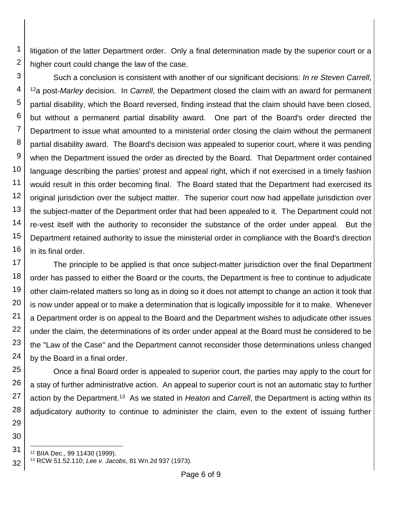1 2 litigation of the latter Department order. Only a final determination made by the superior court or a higher court could change the law of the case.

3 4 5 6 7 8 9 10 11 12 13 14 15 16 Such a conclusion is consistent with another of our significant decisions: *In re Steven Carrell*, <sup>12</sup>a post-*Marley* decision. In *Carrell*, the Department closed the claim with an award for permanent partial disability, which the Board reversed, finding instead that the claim should have been closed, but without a permanent partial disability award. One part of the Board's order directed the Department to issue what amounted to a ministerial order closing the claim without the permanent partial disability award. The Board's decision was appealed to superior court, where it was pending when the Department issued the order as directed by the Board. That Department order contained language describing the parties' protest and appeal right, which if not exercised in a timely fashion would result in this order becoming final. The Board stated that the Department had exercised its original jurisdiction over the subject matter. The superior court now had appellate jurisdiction over the subject-matter of the Department order that had been appealed to it. The Department could not re-vest itself with the authority to reconsider the substance of the order under appeal. But the Department retained authority to issue the ministerial order in compliance with the Board's direction in its final order.

17 18 19 20 21 22 23 24 The principle to be applied is that once subject-matter jurisdiction over the final Department order has passed to either the Board or the courts, the Department is free to continue to adjudicate other claim-related matters so long as in doing so it does not attempt to change an action it took that is now under appeal or to make a determination that is logically impossible for it to make. Whenever a Department order is on appeal to the Board and the Department wishes to adjudicate other issues under the claim, the determinations of its order under appeal at the Board must be considered to be the "Law of the Case" and the Department cannot reconsider those determinations unless changed by the Board in a final order.

25 26 27 28 Once a final Board order is appealed to superior court, the parties may apply to the court for a stay of further administrative action. An appeal to superior court is not an automatic stay to further action by the Department.<sup>13</sup> As we stated in *Heaton* and *Carrell*, the Department is acting within its adjudicatory authority to continue to administer the claim, even to the extent of issuing further

31 l <sup>12</sup> BIIA Dec., 99 11430 (1999).

29

<sup>32</sup> <sup>13</sup> RCW 51.52.110; *Lee v. Jacobs*, 81 Wn.2d 937 (1973).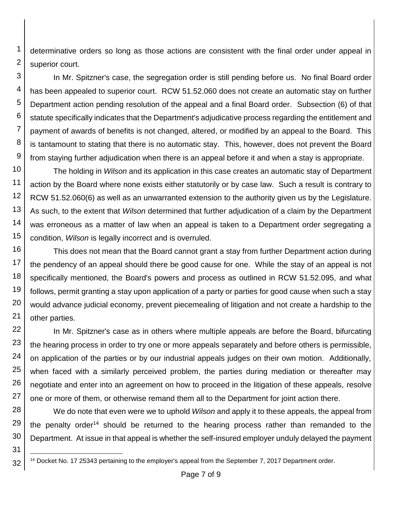1 2 determinative orders so long as those actions are consistent with the final order under appeal in superior court.

3 4 5 6 7 8 9 In Mr. Spitzner's case, the segregation order is still pending before us. No final Board order has been appealed to superior court. RCW 51.52.060 does not create an automatic stay on further Department action pending resolution of the appeal and a final Board order. Subsection (6) of that statute specifically indicates that the Department's adjudicative process regarding the entitlement and payment of awards of benefits is not changed, altered, or modified by an appeal to the Board. This is tantamount to stating that there is no automatic stay. This, however, does not prevent the Board from staying further adjudication when there is an appeal before it and when a stay is appropriate.

10 11 12 13 14 15 The holding in *Wilson* and its application in this case creates an automatic stay of Department action by the Board where none exists either statutorily or by case law. Such a result is contrary to RCW 51.52.060(6) as well as an unwarranted extension to the authority given us by the Legislature. As such, to the extent that *Wilson* determined that further adjudication of a claim by the Department was erroneous as a matter of law when an appeal is taken to a Department order segregating a condition, *Wilson* is legally incorrect and is overruled.

16 17 18 19 20 21 This does not mean that the Board cannot grant a stay from further Department action during the pendency of an appeal should there be good cause for one. While the stay of an appeal is not specifically mentioned, the Board's powers and process as outlined in RCW 51.52.095, and what follows, permit granting a stay upon application of a party or parties for good cause when such a stay would advance judicial economy, prevent piecemealing of litigation and not create a hardship to the other parties.

22 23 24 25 26 27 In Mr. Spitzner's case as in others where multiple appeals are before the Board, bifurcating the hearing process in order to try one or more appeals separately and before others is permissible, on application of the parties or by our industrial appeals judges on their own motion. Additionally, when faced with a similarly perceived problem, the parties during mediation or thereafter may negotiate and enter into an agreement on how to proceed in the litigation of these appeals, resolve one or more of them, or otherwise remand them all to the Department for joint action there.

28 29 30 We do note that even were we to uphold *Wilson* and apply it to these appeals, the appeal from the penalty order<sup>14</sup> should be returned to the hearing process rather than remanded to the Department. At issue in that appeal is whether the self-insured employer unduly delayed the payment

<sup>32</sup> l <sup>14</sup> Docket No. 17 25343 pertaining to the employer's appeal from the September 7, 2017 Department order.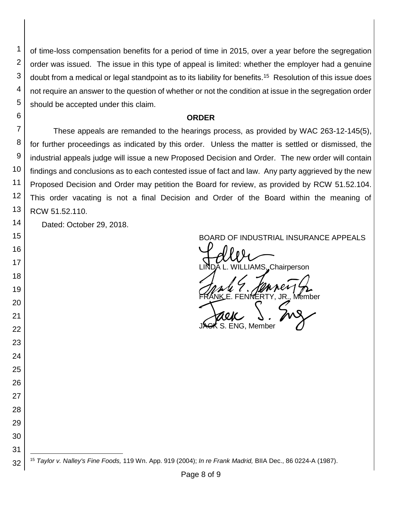of time-loss compensation benefits for a period of time in 2015, over a year before the segregation order was issued. The issue in this type of appeal is limited: whether the employer had a genuine doubt from a medical or legal standpoint as to its liability for benefits.<sup>15</sup> Resolution of this issue does not require an answer to the question of whether or not the condition at issue in the segregation order should be accepted under this claim.

#### **ORDER**

 These appeals are remanded to the hearings process, as provided by WAC 263-12-145(5), for further proceedings as indicated by this order. Unless the matter is settled or dismissed, the industrial appeals judge will issue a new Proposed Decision and Order. The new order will contain findings and conclusions as to each contested issue of fact and law. Any party aggrieved by the new Proposed Decision and Order may petition the Board for review, as provided by RCW 51.52.104. This order vacating is not a final Decision and Order of the Board within the meaning of RCW 51.52.110.

Dated: October 29, 2018.

 

 

 

BOARD OF INDUSTRIAL INSURANCE APPEALS<br>
LINDA L. WILLIAMS, Chairperson FRANK E. FENNERTY, JR., Member<br>FRANK E. FENNERTY, JR., Member<br>JAGK S. ENG, Member

**ENG. Member** 

 l *Taylor v. Nalley's Fine Foods,* 119 Wn. App. 919 (2004); *In re Frank Madrid,* BIIA Dec., 86 0224-A (1987).